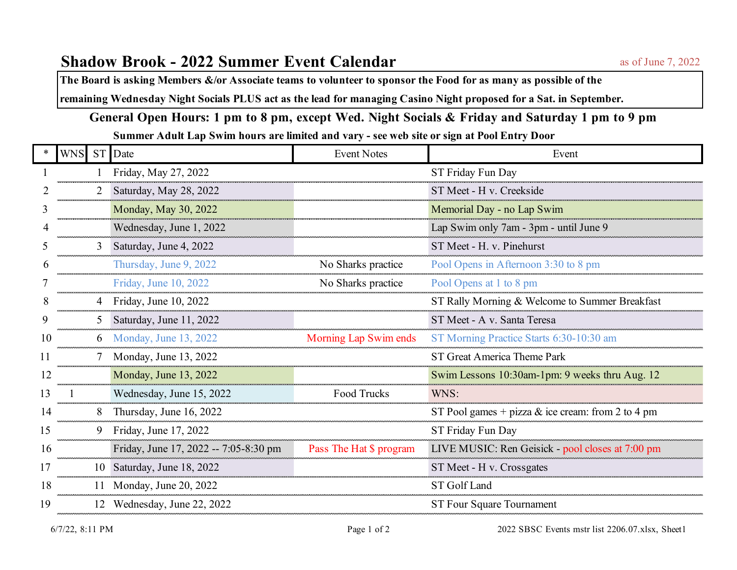**The Board is asking Members &/or Associate teams to volunteer to sponsor the Food for as many as possible of the**

**remaining Wednesday Night Socials PLUS act as the lead for managing Casino Night proposed for a Sat. in September.**

## **General Open Hours: 1 pm to 8 pm, except Wed. Night Socials & Friday and Saturday 1 pm to 9 pm**

**Summer Adult Lap Swim hours are limited and vary - see web site or sign at Pool Entry Door**

|    | <b>WNS</b> |   | ST Date                               | <b>Event Notes</b>      | Event                                             |
|----|------------|---|---------------------------------------|-------------------------|---------------------------------------------------|
|    |            |   | Friday, May 27, 2022                  |                         | ST Friday Fun Day                                 |
|    |            |   | Saturday, May 28, 2022                |                         | ST Meet - H v. Creekside                          |
|    |            |   | Monday, May 30, 2022                  |                         | Memorial Day - no Lap Swim                        |
|    |            |   | Wednesday, June 1, 2022               |                         | Lap Swim only 7am - 3pm - until June 9            |
|    |            | 3 | Saturday, June 4, 2022                |                         | ST Meet - H. v. Pinehurst                         |
|    |            |   | Thursday, June 9, 2022                | No Sharks practice      | Pool Opens in Afternoon 3:30 to 8 pm              |
|    |            |   | Friday, June 10, 2022                 | No Sharks practice      | Pool Opens at 1 to 8 pm                           |
| 8  |            |   | 4 Friday, June 10, 2022               |                         | ST Rally Morning & Welcome to Summer Breakfast    |
|    |            | 5 | Saturday, June 11, 2022               |                         | ST Meet - A v. Santa Teresa                       |
| 10 |            |   | Monday, June 13, 2022                 | Morning Lap Swim ends   | ST Morning Practice Starts 6:30-10:30 am          |
| 11 |            |   | Monday, June 13, 2022                 |                         | ST Great America Theme Park                       |
| 12 |            |   | Monday, June 13, 2022                 |                         | Swim Lessons 10:30am-1pm: 9 weeks thru Aug. 12    |
| 13 |            |   | Wednesday, June 15, 2022              | <b>Food Trucks</b>      | WNS:                                              |
| 14 |            | 8 | Thursday, June 16, 2022               |                         | ST Pool games + pizza & ice cream: from 2 to 4 pm |
| 15 |            |   | 9 Friday, June 17, 2022               |                         | ST Friday Fun Day                                 |
| 16 |            |   | Friday, June 17, 2022 -- 7:05-8:30 pm | Pass The Hat \$ program | LIVE MUSIC: Ren Geisick - pool closes at 7:00 pm  |
| 17 |            |   | 10 Saturday, June 18, 2022            |                         | ST Meet - H v. Crossgates                         |
| 18 |            |   | 11 Monday, June 20, 2022              |                         | ST Golf Land                                      |
| 19 |            |   | 12 Wednesday, June 22, 2022           |                         | ST Four Square Tournament                         |